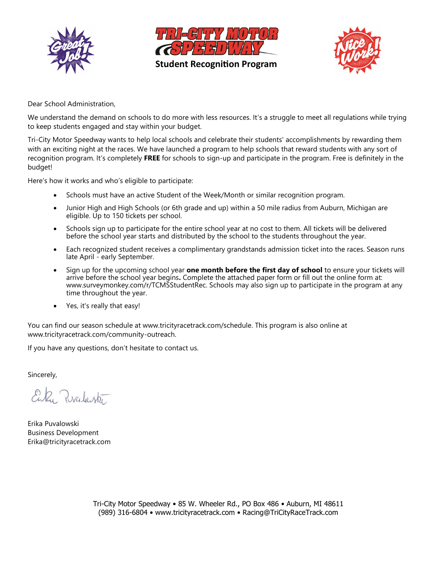



**Student Recognition Program**



Dear School Administration,

We understand the demand on schools to do more with less resources. It's a struggle to meet all regulations while trying to keep students engaged and stay within your budget.

Tri-City Motor Speedway wants to help local schools and celebrate their students' accomplishments by rewarding them with an exciting night at the races. We have launched a program to help schools that reward students with any sort of recognition program. It's completely **FREE** for schools to sign-up and participate in the program. Free is definitely in the budget!

Here's how it works and who's eligible to participate:

- Schools must have an active Student of the Week/Month or similar recognition program.
- Junior High and High Schools (or 6th grade and up) within a 50 mile radius from Auburn, Michigan are eligible. Up to 150 tickets per school.
- Schools sign up to participate for the entire school year at no cost to them. All tickets will be delivered before the school year starts and distributed by the school to the students throughout the year.
- Each recognized student receives a complimentary grandstands admission ticket into the races. Season runs late April - early September.
- Sign up for the upcoming school year **one month before the first day of school** to ensure your tickets will arrive before the school year begins**.** Complete the attached paper form or fill out the online form at: www.surveymonkey.com/r/TCMSStudentRec. Schools may also sign up to participate in the program at any time throughout the year.
- Yes, it's really that easy!

You can find our season schedule at www.tricityracetrack.com/schedule. This program is also online at www.tricityracetrack.com/community-outreach.

If you have any questions, don't hesitate to contact us.

Sincerely,

Enky Pralante

Erika Puvalowski Business Development Erika@tricityracetrack.com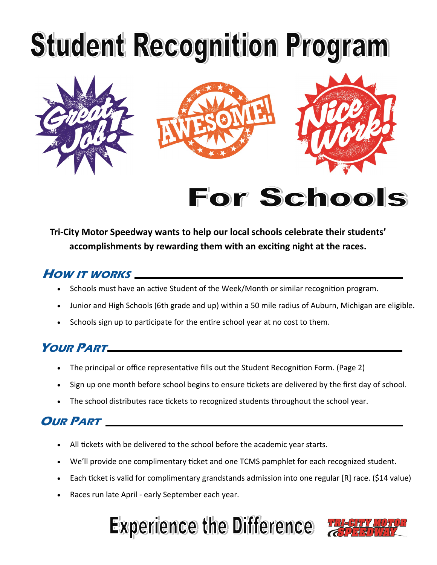

**Tri-City Motor Speedway wants to help our local schools celebrate their students' accomplishments by rewarding them with an exciting night at the races.** 

### **HOW IT WORKS**

- Schools must have an active Student of the Week/Month or similar recognition program.
- Junior and High Schools (6th grade and up) within a 50 mile radius of Auburn, Michigan are eligible.
- Schools sign up to participate for the entire school year at no cost to them.

### **YOUR PART**

- The principal or office representative fills out the Student Recognition Form. (Page 2)
- Sign up one month before school begins to ensure tickets are delivered by the first day of school.
- The school distributes race tickets to recognized students throughout the school year.

### **OUR PART**

- All tickets with be delivered to the school before the academic year starts.
- We'll provide one complimentary ticket and one TCMS pamphlet for each recognized student.
- Each ticket is valid for complimentary grandstands admission into one regular [R] race. (\$14 value)
- Races run late April early September each year.

## **Experience the Difference**